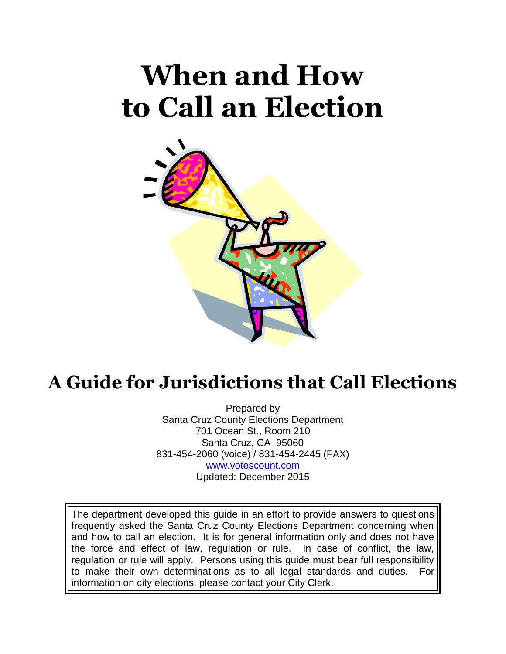# **When and How to Call an Election**



# **A Guide for Jurisdictions that Call Elections**

Prepared by Santa Cruz County Elections Department 701 Ocean St., Room 210 Santa Cruz, CA 95060 831-454-2060 (voice) / 831-454-2445 (FAX) [www.votescount.com](http://www.votescount.com/) Updated: December 2015

The department developed this guide in an effort to provide answers to questions frequently asked the Santa Cruz County Elections Department concerning when and how to call an election. It is for general information only and does not have the force and effect of law, regulation or rule. In case of conflict, the law, regulation or rule will apply. Persons using this guide must bear full responsibility to make their own determinations as to all legal standards and duties. For information on city elections, please contact your City Clerk.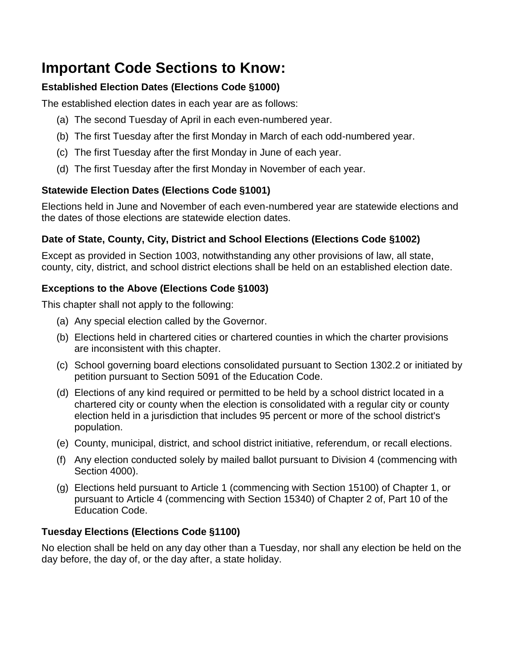# **Important Code Sections to Know:**

## **Established Election Dates (Elections Code §1000)**

The established election dates in each year are as follows:

- (a) The second Tuesday of April in each even-numbered year.
- (b) The first Tuesday after the first Monday in March of each odd-numbered year.
- (c) The first Tuesday after the first Monday in June of each year.
- (d) The first Tuesday after the first Monday in November of each year.

# **Statewide Election Dates (Elections Code §1001)**

Elections held in June and November of each even-numbered year are statewide elections and the dates of those elections are statewide election dates.

# **Date of State, County, City, District and School Elections (Elections Code §1002)**

Except as provided in Section 1003, notwithstanding any other provisions of law, all state, county, city, district, and school district elections shall be held on an established election date.

# **Exceptions to the Above (Elections Code §1003)**

This chapter shall not apply to the following:

- (a) Any special election called by the Governor.
- (b) Elections held in chartered cities or chartered counties in which the charter provisions are inconsistent with this chapter.
- (c) School governing board elections consolidated pursuant to Section 1302.2 or initiated by petition pursuant to Section 5091 of the Education Code.
- (d) Elections of any kind required or permitted to be held by a school district located in a chartered city or county when the election is consolidated with a regular city or county election held in a jurisdiction that includes 95 percent or more of the school district's population.
- (e) County, municipal, district, and school district initiative, referendum, or recall elections.
- (f) Any election conducted solely by mailed ballot pursuant to Division 4 (commencing with Section 4000).
- (g) Elections held pursuant to Article 1 (commencing with Section 15100) of Chapter 1, or pursuant to Article 4 (commencing with Section 15340) of Chapter 2 of, Part 10 of the Education Code.

## **Tuesday Elections (Elections Code §1100)**

No election shall be held on any day other than a Tuesday, nor shall any election be held on the day before, the day of, or the day after, a state holiday.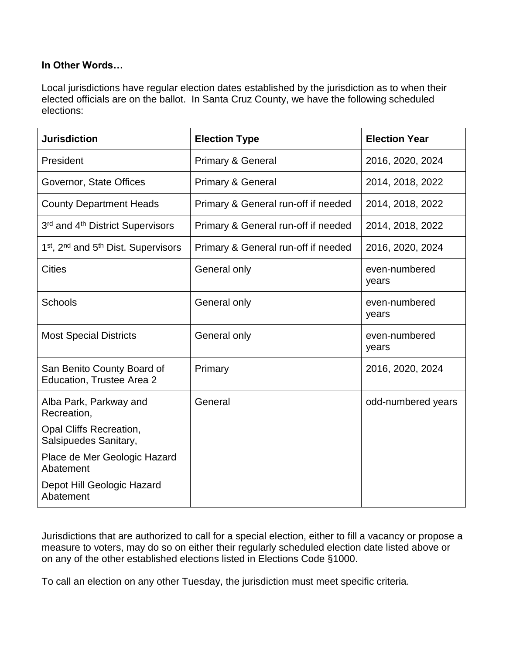#### **In Other Words…**

Local jurisdictions have regular election dates established by the jurisdiction as to when their elected officials are on the ballot. In Santa Cruz County, we have the following scheduled elections:

| <b>Jurisdiction</b>                                                     | <b>Election Type</b>                | <b>Election Year</b>   |  |
|-------------------------------------------------------------------------|-------------------------------------|------------------------|--|
| President                                                               | <b>Primary &amp; General</b>        | 2016, 2020, 2024       |  |
| Governor, State Offices                                                 | <b>Primary &amp; General</b>        | 2014, 2018, 2022       |  |
| <b>County Department Heads</b>                                          | Primary & General run-off if needed | 2014, 2018, 2022       |  |
| 3rd and 4 <sup>th</sup> District Supervisors                            | Primary & General run-off if needed | 2014, 2018, 2022       |  |
| 1 <sup>st</sup> , 2 <sup>nd</sup> and 5 <sup>th</sup> Dist. Supervisors | Primary & General run-off if needed | 2016, 2020, 2024       |  |
| <b>Cities</b>                                                           | General only                        | even-numbered<br>years |  |
| <b>Schools</b>                                                          | General only                        | even-numbered<br>years |  |
| <b>Most Special Districts</b>                                           | General only                        | even-numbered<br>years |  |
| San Benito County Board of<br>Education, Trustee Area 2                 | Primary                             | 2016, 2020, 2024       |  |
| Alba Park, Parkway and<br>Recreation,                                   | General                             | odd-numbered years     |  |
| Opal Cliffs Recreation,<br>Salsipuedes Sanitary,                        |                                     |                        |  |
| Place de Mer Geologic Hazard<br>Abatement                               |                                     |                        |  |
| Depot Hill Geologic Hazard<br>Abatement                                 |                                     |                        |  |

Jurisdictions that are authorized to call for a special election, either to fill a vacancy or propose a measure to voters, may do so on either their regularly scheduled election date listed above or on any of the other established elections listed in Elections Code §1000.

To call an election on any other Tuesday, the jurisdiction must meet specific criteria.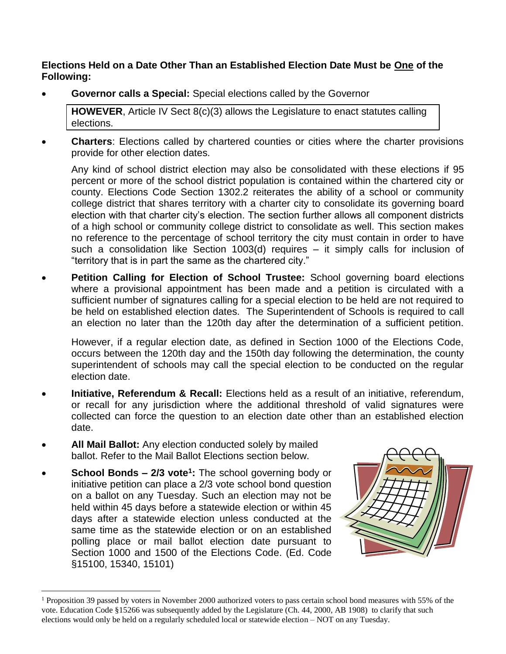**Elections Held on a Date Other Than an Established Election Date Must be One of the Following:**

**Governor calls a Special:** Special elections called by the Governor

**HOWEVER**, Article IV Sect 8(c)(3) allows the Legislature to enact statutes calling elections.

 **Charters**: Elections called by chartered counties or cities where the charter provisions provide for other election dates.

Any kind of school district election may also be consolidated with these elections if 95 percent or more of the school district population is contained within the chartered city or county. Elections Code Section 1302.2 reiterates the ability of a school or community college district that shares territory with a charter city to consolidate its governing board election with that charter city's election. The section further allows all component districts of a high school or community college district to consolidate as well. This section makes no reference to the percentage of school territory the city must contain in order to have such a consolidation like Section 1003(d) requires – it simply calls for inclusion of "territory that is in part the same as the chartered city."

 **Petition Calling for Election of School Trustee:** School governing board elections where a provisional appointment has been made and a petition is circulated with a sufficient number of signatures calling for a special election to be held are not required to be held on established election dates. The Superintendent of Schools is required to call an election no later than the 120th day after the determination of a sufficient petition.

However, if a regular election date, as defined in Section 1000 of the Elections Code, occurs between the 120th day and the 150th day following the determination, the county superintendent of schools may call the special election to be conducted on the regular election date.

- **Initiative, Referendum & Recall:** Elections held as a result of an initiative, referendum, or recall for any jurisdiction where the additional threshold of valid signatures were collected can force the question to an election date other than an established election date.
- **All Mail Ballot:** Any election conducted solely by mailed ballot. Refer to the Mail Ballot Elections section below.
- **School Bonds – 2/3 vote<sup>1</sup> :** The school governing body or initiative petition can place a 2/3 vote school bond question on a ballot on any Tuesday. Such an election may not be held within 45 days before a statewide election or within 45 days after a statewide election unless conducted at the same time as the statewide election or on an established polling place or mail ballot election date pursuant to Section 1000 and 1500 of the Elections Code. (Ed. Code §15100, 15340, 15101)

 $\overline{a}$ 



<sup>&</sup>lt;sup>1</sup> Proposition 39 passed by voters in November 2000 authorized voters to pass certain school bond measures with 55% of the vote. Education Code §15266 was subsequently added by the Legislature (Ch. 44, 2000, AB 1908) to clarify that such elections would only be held on a regularly scheduled local or statewide election – NOT on any Tuesday.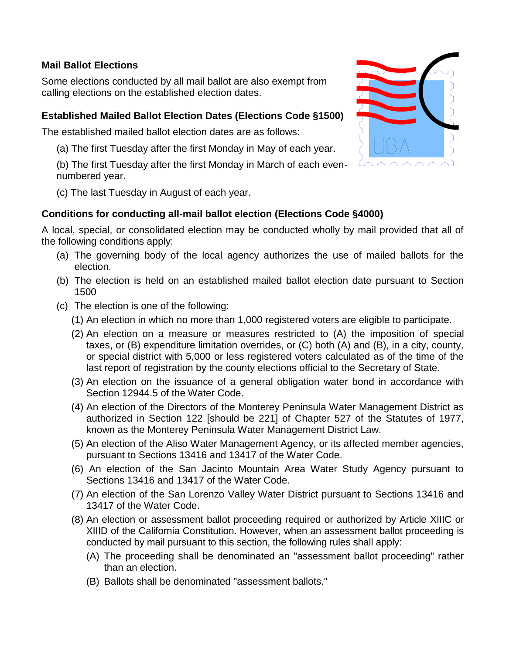#### **Mail Ballot Elections**

Some elections conducted by all mail ballot are also exempt from calling elections on the established election dates.

### **Established Mailed Ballot Election Dates (Elections Code §1500)**

The established mailed ballot election dates are as follows:

(a) The first Tuesday after the first Monday in May of each year.

(b) The first Tuesday after the first Monday in March of each evennumbered year.

(c) The last Tuesday in August of each year.

## **Conditions for conducting all-mail ballot election (Elections Code §4000)**

A local, special, or consolidated election may be conducted wholly by mail provided that all of the following conditions apply:

- (a) The governing body of the local agency authorizes the use of mailed ballots for the election.
- (b) The election is held on an established mailed ballot election date pursuant to Section 1500
- (c) The election is one of the following:
	- (1) An election in which no more than 1,000 registered voters are eligible to participate.
	- (2) An election on a measure or measures restricted to (A) the imposition of special taxes, or (B) expenditure limitation overrides, or (C) both (A) and (B), in a city, county, or special district with 5,000 or less registered voters calculated as of the time of the last report of registration by the county elections official to the Secretary of State.
	- (3) An election on the issuance of a general obligation water bond in accordance with Section 12944.5 of the Water Code.
	- (4) An election of the Directors of the Monterey Peninsula Water Management District as authorized in Section 122 [should be 221] of Chapter 527 of the Statutes of 1977, known as the Monterey Peninsula Water Management District Law.
	- (5) An election of the Aliso Water Management Agency, or its affected member agencies, pursuant to Sections 13416 and 13417 of the Water Code.
	- (6) An election of the San Jacinto Mountain Area Water Study Agency pursuant to Sections 13416 and 13417 of the Water Code.
	- (7) An election of the San Lorenzo Valley Water District pursuant to Sections 13416 and 13417 of the Water Code.
	- (8) An election or assessment ballot proceeding required or authorized by Article XIIIC or XIIID of the California Constitution. However, when an assessment ballot proceeding is conducted by mail pursuant to this section, the following rules shall apply:
		- (A) The proceeding shall be denominated an "assessment ballot proceeding" rather than an election.
		- (B) Ballots shall be denominated "assessment ballots."

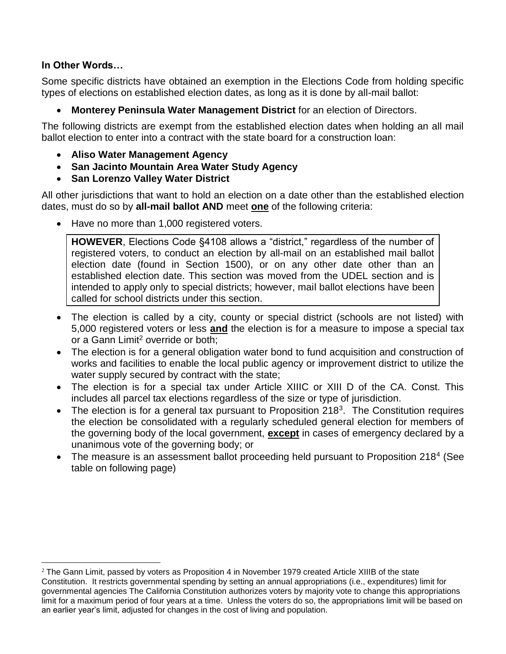#### **In Other Words…**

 $\overline{a}$ 

Some specific districts have obtained an exemption in the Elections Code from holding specific types of elections on established election dates, as long as it is done by all-mail ballot:

**Monterey Peninsula Water Management District** for an election of Directors.

The following districts are exempt from the established election dates when holding an all mail ballot election to enter into a contract with the state board for a construction loan:

- **Aliso Water Management Agency**
- **San Jacinto Mountain Area Water Study Agency**
- **San Lorenzo Valley Water District**

All other jurisdictions that want to hold an election on a date other than the established election dates, must do so by **all-mail ballot AND** meet **one** of the following criteria:

• Have no more than 1,000 registered voters.

**HOWEVER**, Elections Code §4108 allows a "district," regardless of the number of registered voters, to conduct an election by all-mail on an established mail ballot election date (found in Section 1500), or on any other date other than an established election date. This section was moved from the UDEL section and is intended to apply only to special districts; however, mail ballot elections have been called for school districts under this section.

- The election is called by a city, county or special district (schools are not listed) with 5,000 registered voters or less **and** the election is for a measure to impose a special tax or a Gann Limit<sup>2</sup> override or both;
- The election is for a general obligation water bond to fund acquisition and construction of works and facilities to enable the local public agency or improvement district to utilize the water supply secured by contract with the state;
- The election is for a special tax under Article XIIIC or XIII D of the CA. Const. This includes all parcel tax elections regardless of the size or type of jurisdiction.
- The election is for a general tax pursuant to Proposition 218<sup>3</sup>. The Constitution requires the election be consolidated with a regularly scheduled general election for members of the governing body of the local government, **except** in cases of emergency declared by a unanimous vote of the governing body; or
- The measure is an assessment ballot proceeding held pursuant to Proposition 218<sup>4</sup> (See table on following page)

<sup>&</sup>lt;sup>2</sup> The Gann Limit, passed by voters as Proposition 4 in November 1979 created Article XIIIB of the state Constitution. It restricts governmental spending by setting an annual appropriations (i.e., expenditures) limit for governmental agencies The California Constitution authorizes voters by majority vote to change this appropriations limit for a maximum period of four years at a time. Unless the voters do so, the appropriations limit will be based on an earlier year's limit, adjusted for changes in the cost of living and population.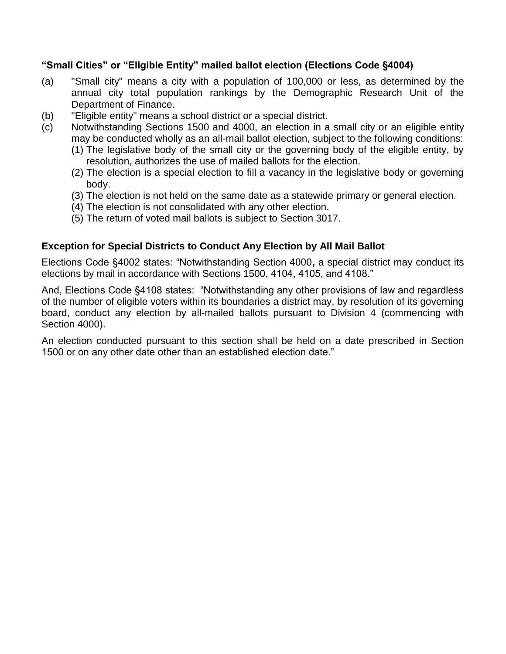#### **"Small Cities" or "Eligible Entity" mailed ballot election (Elections Code §4004)**

- (a) "Small city" means a city with a population of 100,000 or less, as determined by the annual city total population rankings by the Demographic Research Unit of the Department of Finance.
- (b) "Eligible entity" means a school district or a special district.
- (c) Notwithstanding Sections 1500 and 4000, an election in a small city or an eligible entity may be conducted wholly as an all-mail ballot election, subject to the following conditions:
	- (1) The legislative body of the small city or the governing body of the eligible entity, by resolution, authorizes the use of mailed ballots for the election.
	- (2) The election is a special election to fill a vacancy in the legislative body or governing body.
	- (3) The election is not held on the same date as a statewide primary or general election.
	- (4) The election is not consolidated with any other election.
	- (5) The return of voted mail ballots is subject to Section 3017.

#### **Exception for Special Districts to Conduct Any Election by All Mail Ballot**

Elections Code §4002 states: "Notwithstanding Section 4000**,** a special district may conduct its elections by mail in accordance with Sections 1500, 4104, 4105, and 4108."

And, Elections Code §4108 states: "Notwithstanding any other provisions of law and regardless of the number of eligible voters within its boundaries a district may, by resolution of its governing board, conduct any election by all-mailed ballots pursuant to Division 4 (commencing with Section 4000).

An election conducted pursuant to this section shall be held on a date prescribed in Section 1500 or on any other date other than an established election date."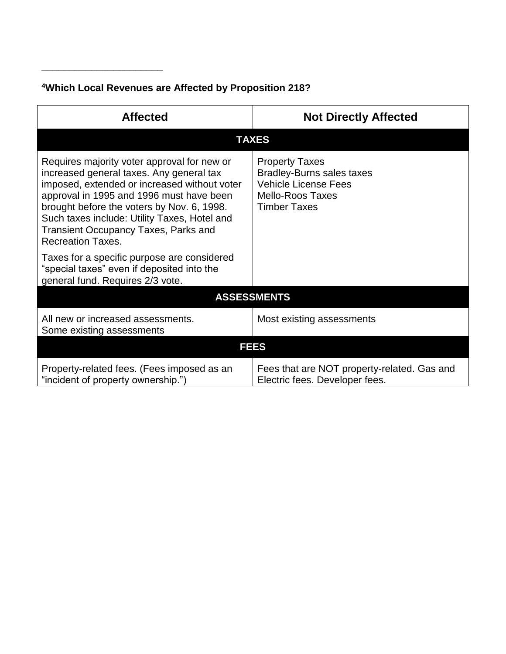# **<sup>4</sup>Which Local Revenues are Affected by Proposition 218?**

\_\_\_\_\_\_\_\_\_\_\_\_\_\_\_\_\_\_\_\_\_\_

| <b>Affected</b>                                                                                                                                                                                                                                                                                                                                       | <b>Not Directly Affected</b>                                                                                                               |  |  |  |  |  |
|-------------------------------------------------------------------------------------------------------------------------------------------------------------------------------------------------------------------------------------------------------------------------------------------------------------------------------------------------------|--------------------------------------------------------------------------------------------------------------------------------------------|--|--|--|--|--|
| <b>TAXES</b>                                                                                                                                                                                                                                                                                                                                          |                                                                                                                                            |  |  |  |  |  |
| Requires majority voter approval for new or<br>increased general taxes. Any general tax<br>imposed, extended or increased without voter<br>approval in 1995 and 1996 must have been<br>brought before the voters by Nov. 6, 1998.<br>Such taxes include: Utility Taxes, Hotel and<br>Transient Occupancy Taxes, Parks and<br><b>Recreation Taxes.</b> | <b>Property Taxes</b><br><b>Bradley-Burns sales taxes</b><br><b>Vehicle License Fees</b><br><b>Mello-Roos Taxes</b><br><b>Timber Taxes</b> |  |  |  |  |  |
| Taxes for a specific purpose are considered<br>"special taxes" even if deposited into the<br>general fund. Requires 2/3 vote.                                                                                                                                                                                                                         |                                                                                                                                            |  |  |  |  |  |
| <b>ASSESSMENTS</b>                                                                                                                                                                                                                                                                                                                                    |                                                                                                                                            |  |  |  |  |  |
| All new or increased assessments.<br>Some existing assessments                                                                                                                                                                                                                                                                                        | Most existing assessments                                                                                                                  |  |  |  |  |  |
| <b>FEES</b>                                                                                                                                                                                                                                                                                                                                           |                                                                                                                                            |  |  |  |  |  |
| Property-related fees. (Fees imposed as an<br>"incident of property ownership.")                                                                                                                                                                                                                                                                      | Fees that are NOT property-related. Gas and<br>Electric fees. Developer fees.                                                              |  |  |  |  |  |